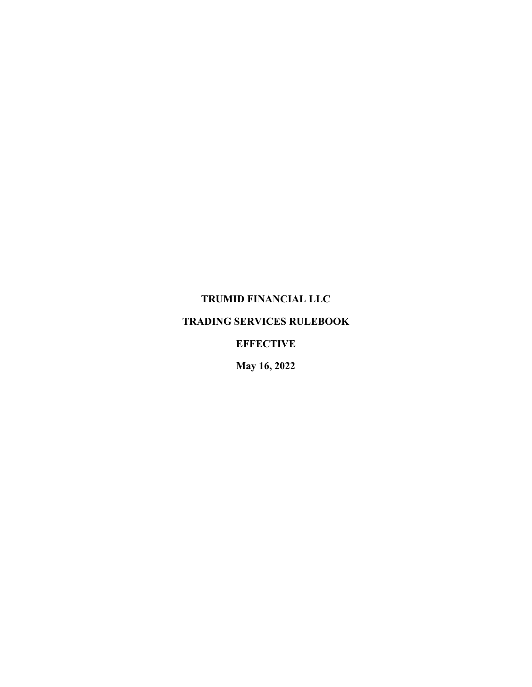# **TRUMID FINANCIAL LLC**

# **TRADING SERVICES RULEBOOK**

# **EFFECTIVE**

**May 16, 2022**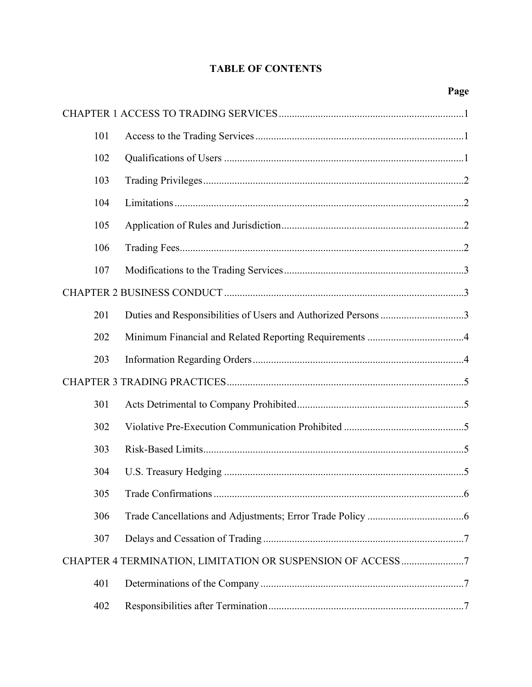# **TABLE OF CONTENTS**

| 101 |                                                               |  |
|-----|---------------------------------------------------------------|--|
| 102 |                                                               |  |
| 103 |                                                               |  |
| 104 |                                                               |  |
| 105 |                                                               |  |
| 106 |                                                               |  |
| 107 |                                                               |  |
|     |                                                               |  |
| 201 | Duties and Responsibilities of Users and Authorized Persons 3 |  |
| 202 |                                                               |  |
| 203 |                                                               |  |
|     |                                                               |  |
| 301 |                                                               |  |
| 302 |                                                               |  |
| 303 |                                                               |  |
| 304 |                                                               |  |
| 305 | 6                                                             |  |
| 306 |                                                               |  |
| 307 |                                                               |  |
|     |                                                               |  |
| 401 |                                                               |  |
| 402 |                                                               |  |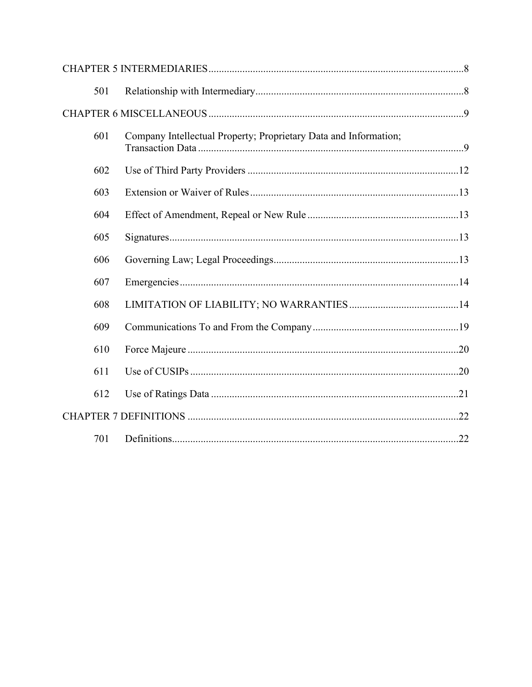| 501 |                                                                  |  |
|-----|------------------------------------------------------------------|--|
|     |                                                                  |  |
| 601 | Company Intellectual Property; Proprietary Data and Information; |  |
| 602 |                                                                  |  |
| 603 |                                                                  |  |
| 604 |                                                                  |  |
| 605 |                                                                  |  |
| 606 |                                                                  |  |
| 607 |                                                                  |  |
| 608 |                                                                  |  |
| 609 |                                                                  |  |
| 610 |                                                                  |  |
| 611 |                                                                  |  |
| 612 |                                                                  |  |
|     |                                                                  |  |
| 701 |                                                                  |  |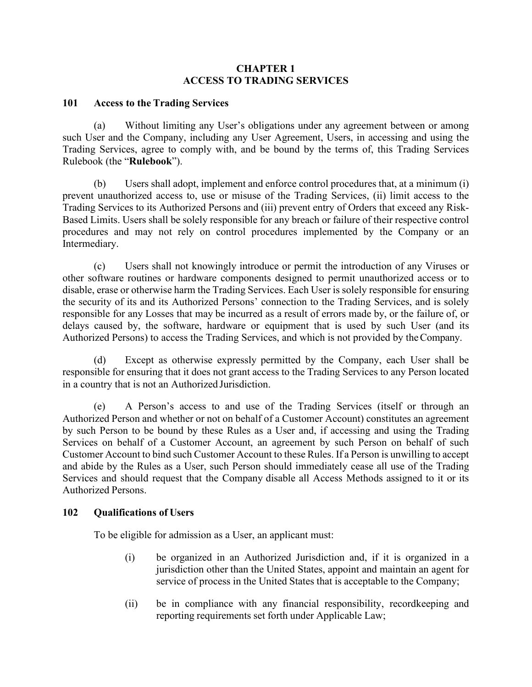# **CHAPTER 1 ACCESS TO TRADING SERVICES**

### <span id="page-3-1"></span><span id="page-3-0"></span>**101 Access to the Trading Services**

Without limiting any User's obligations under any agreement between or among such User and the Company, including any User Agreement, Users, in accessing and using the Trading Services, agree to comply with, and be bound by the terms of, this Trading Services Rulebook (the "**Rulebook**").

(b) Users shall adopt, implement and enforce control procedures that, at a minimum (i) prevent unauthorized access to, use or misuse of the Trading Services, (ii) limit access to the Trading Services to its Authorized Persons and (iii) prevent entry of Orders that exceed any Risk-Based Limits. Users shall be solely responsible for any breach or failure of their respective control procedures and may not rely on control procedures implemented by the Company or an Intermediary.

(c) Users shall not knowingly introduce or permit the introduction of any Viruses or other software routines or hardware components designed to permit unauthorized access or to disable, erase or otherwise harm the Trading Services. Each User is solely responsible for ensuring the security of its and its Authorized Persons' connection to the Trading Services, and is solely responsible for any Losses that may be incurred as a result of errors made by, or the failure of, or delays caused by, the software, hardware or equipment that is used by such User (and its Authorized Persons) to access the Trading Services, and which is not provided by theCompany.

(d) Except as otherwise expressly permitted by the Company, each User shall be responsible for ensuring that it does not grant access to the Trading Services to any Person located in a country that is not an Authorized Jurisdiction.

(e) A Person's access to and use of the Trading Services (itself or through an Authorized Person and whether or not on behalf of a Customer Account) constitutes an agreement by such Person to be bound by these Rules as a User and, if accessing and using the Trading Services on behalf of a Customer Account, an agreement by such Person on behalf of such Customer Account to bind such Customer Account to these Rules. If a Person is unwilling to accept and abide by the Rules as a User, such Person should immediately cease all use of the Trading Services and should request that the Company disable all Access Methods assigned to it or its Authorized Persons.

## <span id="page-3-2"></span>**102 Qualifications of Users**

To be eligible for admission as a User, an applicant must:

- (i) be organized in an Authorized Jurisdiction and, if it is organized in a jurisdiction other than the United States, appoint and maintain an agent for service of process in the United States that is acceptable to the Company;
- (ii) be in compliance with any financial responsibility, recordkeeping and reporting requirements set forth under Applicable Law;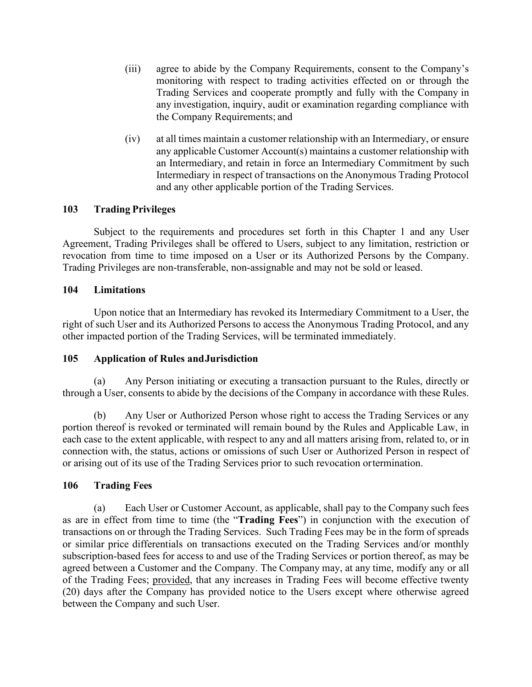- (iii) agree to abide by the Company Requirements, consent to the Company's monitoring with respect to trading activities effected on or through the Trading Services and cooperate promptly and fully with the Company in any investigation, inquiry, audit or examination regarding compliance with the Company Requirements; and
- (iv) at all times maintain a customer relationship with an Intermediary, or ensure any applicable Customer Account(s) maintains a customer relationship with an Intermediary, and retain in force an Intermediary Commitment by such Intermediary in respect of transactions on the Anonymous Trading Protocol and any other applicable portion of the Trading Services.

# <span id="page-4-0"></span>**103 Trading Privileges**

Subject to the requirements and procedures set forth in this Chapter 1 and any User Agreement, Trading Privileges shall be offered to Users, subject to any limitation, restriction or revocation from time to time imposed on a User or its Authorized Persons by the Company. Trading Privileges are non-transferable, non-assignable and may not be sold or leased.

## <span id="page-4-1"></span>**104 Limitations**

Upon notice that an Intermediary has revoked its Intermediary Commitment to a User, the right of such User and its Authorized Persons to access the Anonymous Trading Protocol, and any other impacted portion of the Trading Services, will be terminated immediately.

## <span id="page-4-2"></span>**105 Application of Rules and Jurisdiction**

Any Person initiating or executing a transaction pursuant to the Rules, directly or through a User, consents to abide by the decisions of the Company in accordance with these Rules.

(b) Any User or Authorized Person whose right to access the Trading Services or any portion thereof is revoked or terminated will remain bound by the Rules and Applicable Law, in each case to the extent applicable, with respect to any and all matters arising from, related to, or in connection with, the status, actions or omissions of such User or Authorized Person in respect of or arising out of its use of the Trading Services prior to such revocation or termination.

## <span id="page-4-3"></span>**106 Trading Fees**

(a) Each User or Customer Account, as applicable, shall pay to the Company such fees as are in effect from time to time (the "**Trading Fees**") in conjunction with the execution of transactions on or through the Trading Services. Such Trading Fees may be in the form of spreads or similar price differentials on transactions executed on the Trading Services and/or monthly subscription-based fees for access to and use of the Trading Services or portion thereof, as may be agreed between a Customer and the Company. The Company may, at any time, modify any or all of the Trading Fees; provided, that any increases in Trading Fees will become effective twenty (20) days after the Company has provided notice to the Users except where otherwise agreed between the Company and such User.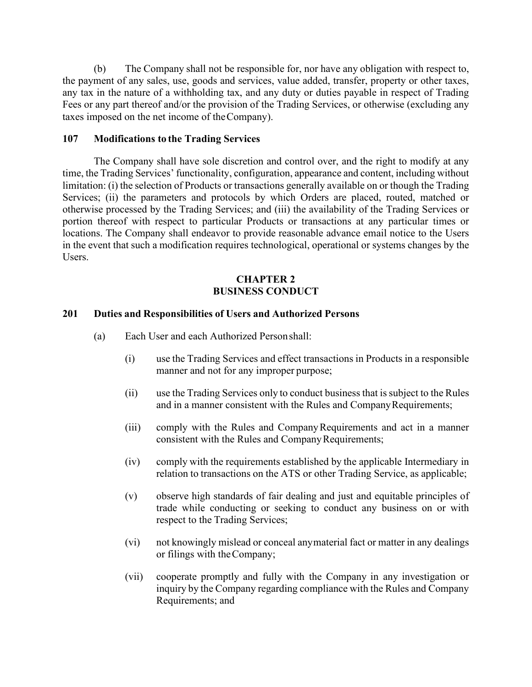(b) The Company shall not be responsible for, nor have any obligation with respect to, the payment of any sales, use, goods and services, value added, transfer, property or other taxes, any tax in the nature of a withholding tax, and any duty or duties payable in respect of Trading Fees or any part thereof and/or the provision of the Trading Services, or otherwise (excluding any taxes imposed on the net income of the Company).

### <span id="page-5-0"></span>**107 Modifications to the Trading Services**

The Company shall have sole discretion and control over, and the right to modify at any time, the Trading Services' functionality, configuration, appearance and content, including without limitation: (i) the selection of Products or transactions generally available on or though the Trading Services; (ii) the parameters and protocols by which Orders are placed, routed, matched or otherwise processed by the Trading Services; and (iii) the availability of the Trading Services or portion thereof with respect to particular Products or transactions at any particular times or locations. The Company shall endeavor to provide reasonable advance email notice to the Users in the event that such a modification requires technological, operational or systems changes by the Users.

# **CHAPTER 2 BUSINESS CONDUCT**

#### <span id="page-5-2"></span><span id="page-5-1"></span>**201 Duties and Responsibilities of Users and Authorized Persons**

- (a) Each User and each Authorized Person shall:
	- (i) use the Trading Services and effect transactions in Products in a responsible manner and not for any improper purpose;
	- (ii) use the Trading Services only to conduct business that issubject to the Rules and in a manner consistent with the Rules and Company Requirements;
	- (iii) comply with the Rules and CompanyRequirements and act in a manner consistent with the Rules and Company Requirements;
	- (iv) comply with the requirements established by the applicable Intermediary in relation to transactions on the ATS or other Trading Service, as applicable;
	- (v) observe high standards of fair dealing and just and equitable principles of trade while conducting or seeking to conduct any business on or with respect to the Trading Services;
	- (vi) not knowingly mislead or conceal anymaterial fact or matter in any dealings or filings with the Company;
	- (vii) cooperate promptly and fully with the Company in any investigation or inquiry by the Company regarding compliance with the Rules and Company Requirements; and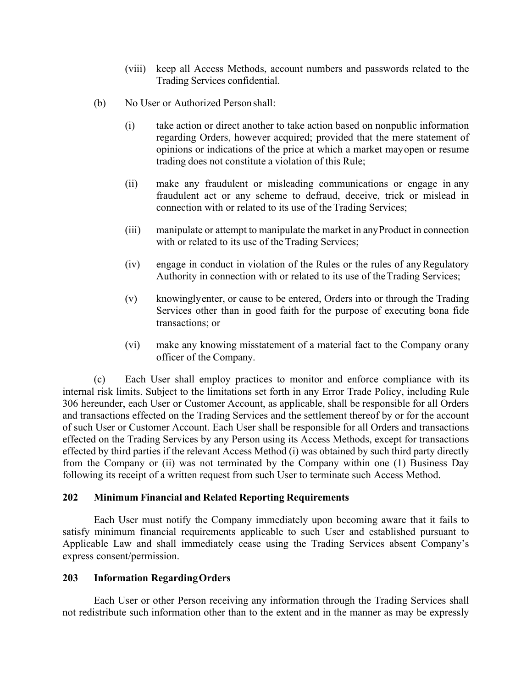- (viii) keep all Access Methods, account numbers and passwords related to the Trading Services confidential.
- (b) No User or Authorized Personshall:
	- (i) take action or direct another to take action based on nonpublic information regarding Orders, however acquired; provided that the mere statement of opinions or indications of the price at which a market mayopen or resume trading does not constitute a violation of this Rule;
	- (ii) make any fraudulent or misleading communications or engage in any fraudulent act or any scheme to defraud, deceive, trick or mislead in connection with or related to its use of the Trading Services;
	- (iii) manipulate or attempt to manipulate the market in anyProduct in connection with or related to its use of the Trading Services;
	- (iv) engage in conduct in violation of the Rules or the rules of anyRegulatory Authority in connection with or related to its use of the Trading Services;
	- (v) knowinglyenter, or cause to be entered, Orders into or through the Trading Services other than in good faith for the purpose of executing bona fide transactions; or
	- (vi) make any knowing misstatement of a material fact to the Company orany officer of the Company.

(c) Each User shall employ practices to monitor and enforce compliance with its internal risk limits. Subject to the limitations set forth in any Error Trade Policy, including Rule 306 hereunder, each User or Customer Account, as applicable, shall be responsible for all Orders and transactions effected on the Trading Services and the settlement thereof by or for the account of such User or Customer Account. Each User shall be responsible for all Orders and transactions effected on the Trading Services by any Person using its Access Methods, except for transactions effected by third parties if the relevant Access Method (i) was obtained by such third party directly from the Company or (ii) was not terminated by the Company within one (1) Business Day following its receipt of a written request from such User to terminate such Access Method.

## <span id="page-6-0"></span>**202 Minimum Financial and Related Reporting Requirements**

Each User must notify the Company immediately upon becoming aware that it fails to satisfy minimum financial requirements applicable to such User and established pursuant to Applicable Law and shall immediately cease using the Trading Services absent Company's express consent/permission.

## <span id="page-6-1"></span>**203 Information RegardingOrders**

Each User or other Person receiving any information through the Trading Services shall not redistribute such information other than to the extent and in the manner as may be expressly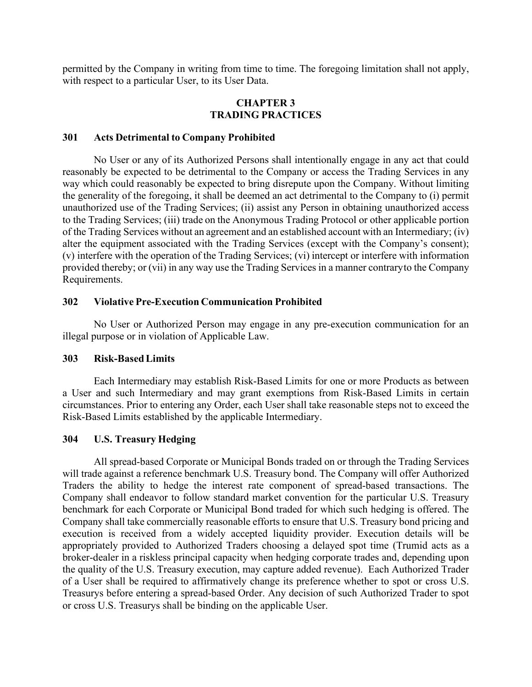permitted by the Company in writing from time to time. The foregoing limitation shall not apply, with respect to a particular User, to its User Data.

#### **CHAPTER 3 TRADING PRACTICES**

#### <span id="page-7-1"></span><span id="page-7-0"></span>**301 Acts Detrimental to Company Prohibited**

No User or any of its Authorized Persons shall intentionally engage in any act that could reasonably be expected to be detrimental to the Company or access the Trading Services in any way which could reasonably be expected to bring disrepute upon the Company. Without limiting the generality of the foregoing, it shall be deemed an act detrimental to the Company to (i) permit unauthorized use of the Trading Services; (ii) assist any Person in obtaining unauthorized access to the Trading Services; (iii) trade on the Anonymous Trading Protocol or other applicable portion of the Trading Services without an agreement and an established account with an Intermediary; (iv) alter the equipment associated with the Trading Services (except with the Company's consent); (v) interfere with the operation of the Trading Services; (vi) intercept or interfere with information provided thereby; or (vii) in any way use the Trading Services in a manner contraryto the Company Requirements.

#### <span id="page-7-2"></span>**302 Violative Pre-Execution Communication Prohibited**

No User or Authorized Person may engage in any pre-execution communication for an illegal purpose or in violation of Applicable Law.

#### <span id="page-7-3"></span>**303 Risk-BasedLimits**

Each Intermediary may establish Risk-Based Limits for one or more Products as between a User and such Intermediary and may grant exemptions from Risk-Based Limits in certain circumstances. Prior to entering any Order, each User shall take reasonable steps not to exceed the Risk-Based Limits established by the applicable Intermediary.

# <span id="page-7-4"></span>**304 U.S. Treasury Hedging**

All spread-based Corporate or Municipal Bonds traded on or through the Trading Services will trade against a reference benchmark U.S. Treasury bond. The Company will offer Authorized Traders the ability to hedge the interest rate component of spread-based transactions. The Company shall endeavor to follow standard market convention for the particular U.S. Treasury benchmark for each Corporate or Municipal Bond traded for which such hedging is offered. The Company shall take commercially reasonable efforts to ensure that U.S. Treasury bond pricing and execution is received from a widely accepted liquidity provider. Execution details will be appropriately provided to Authorized Traders choosing a delayed spot time (Trumid acts as a broker-dealer in a riskless principal capacity when hedging corporate trades and, depending upon the quality of the U.S. Treasury execution, may capture added revenue). Each Authorized Trader of a User shall be required to affirmatively change its preference whether to spot or cross U.S. Treasurys before entering a spread-based Order. Any decision of such Authorized Trader to spot or cross U.S. Treasurys shall be binding on the applicable User.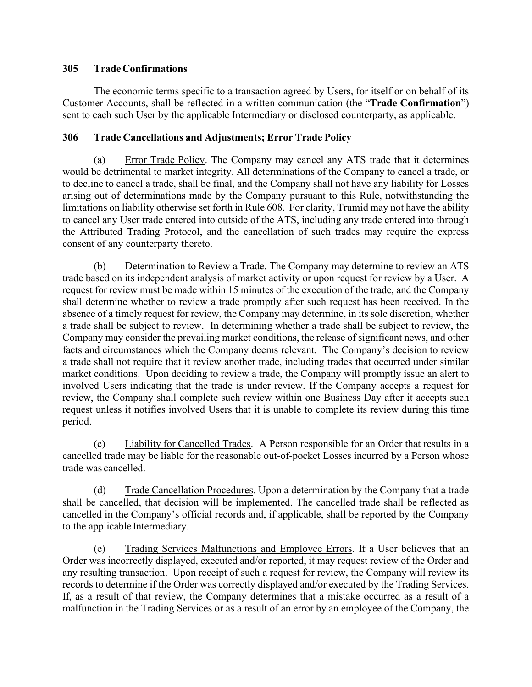# <span id="page-8-0"></span>**305 Trade Confirmations**

The economic terms specific to a transaction agreed by Users, for itself or on behalf of its Customer Accounts, shall be reflected in a written communication (the "**Trade Confirmation**") sent to each such User by the applicable Intermediary or disclosed counterparty, as applicable.

# <span id="page-8-1"></span>**306 Trade Cancellations and Adjustments; Error Trade Policy**

(a) Error Trade Policy. The Company may cancel any ATS trade that it determines would be detrimental to market integrity. All determinations of the Company to cancel a trade, or to decline to cancel a trade, shall be final, and the Company shall not have any liability for Losses arising out of determinations made by the Company pursuant to this Rule, notwithstanding the limitations on liability otherwise set forth in Rule 608. For clarity, Trumid may not have the ability to cancel any User trade entered into outside of the ATS, including any trade entered into through the Attributed Trading Protocol, and the cancellation of such trades may require the express consent of any counterparty thereto.

(b) Determination to Review a Trade. The Company may determine to review an ATS trade based on its independent analysis of market activity or upon request for review by a User. A request for review must be made within 15 minutes of the execution of the trade, and the Company shall determine whether to review a trade promptly after such request has been received. In the absence of a timely request for review, the Company may determine, in its sole discretion, whether a trade shall be subject to review. In determining whether a trade shall be subject to review, the Company may consider the prevailing market conditions, the release of significant news, and other facts and circumstances which the Company deems relevant. The Company's decision to review a trade shall not require that it review another trade, including trades that occurred under similar market conditions. Upon deciding to review a trade, the Company will promptly issue an alert to involved Users indicating that the trade is under review. If the Company accepts a request for review, the Company shall complete such review within one Business Day after it accepts such request unless it notifies involved Users that it is unable to complete its review during this time period.

(c) Liability for Cancelled Trades. A Person responsible for an Order that results in a cancelled trade may be liable for the reasonable out-of-pocket Losses incurred by a Person whose trade was cancelled.

(d) Trade Cancellation Procedures. Upon a determination by the Company that a trade shall be cancelled, that decision will be implemented. The cancelled trade shall be reflected as cancelled in the Company's official records and, if applicable, shall be reported by the Company to the applicable Intermediary.

(e) Trading Services Malfunctions and Employee Errors. If a User believes that an Order was incorrectly displayed, executed and/or reported, it may request review of the Order and any resulting transaction. Upon receipt of such a request for review, the Company will review its records to determine if the Order was correctly displayed and/or executed by the Trading Services. If, as a result of that review, the Company determines that a mistake occurred as a result of a malfunction in the Trading Services or as a result of an error by an employee of the Company, the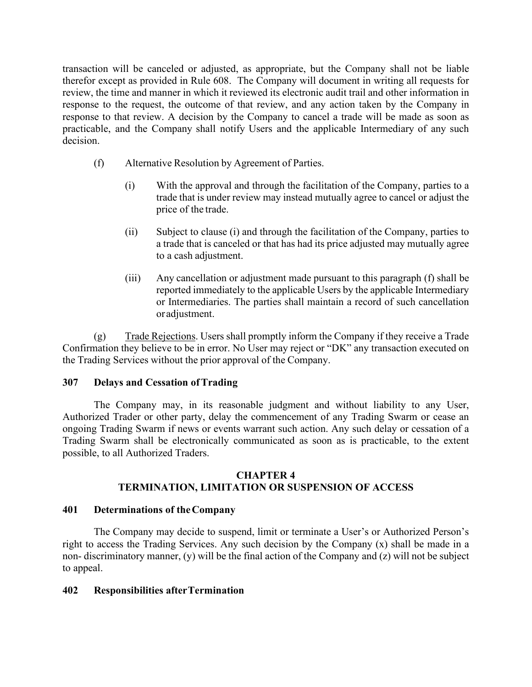transaction will be canceled or adjusted, as appropriate, but the Company shall not be liable therefor except as provided in Rule 608. The Company will document in writing all requests for review, the time and manner in which it reviewed its electronic audit trail and other information in response to the request, the outcome of that review, and any action taken by the Company in response to that review. A decision by the Company to cancel a trade will be made as soon as practicable, and the Company shall notify Users and the applicable Intermediary of any such decision.

- (f) Alternative Resolution by Agreement of Parties.
	- (i) With the approval and through the facilitation of the Company, parties to a trade that is under review may instead mutually agree to cancel or adjust the price of the trade.
	- (ii) Subject to clause (i) and through the facilitation of the Company, parties to a trade that is canceled or that has had its price adjusted may mutually agree to a cash adjustment.
	- (iii) Any cancellation or adjustment made pursuant to this paragraph (f) shall be reported immediately to the applicable Users by the applicable Intermediary or Intermediaries. The parties shall maintain a record of such cancellation or adjustment.

(g) Trade Rejections. Users shall promptly inform the Company if they receive a Trade Confirmation they believe to be in error. No User may reject or "DK" any transaction executed on the Trading Services without the prior approval of the Company.

## <span id="page-9-0"></span>**307 Delays and Cessation of Trading**

The Company may, in its reasonable judgment and without liability to any User, Authorized Trader or other party, delay the commencement of any Trading Swarm or cease an ongoing Trading Swarm if news or events warrant such action. Any such delay or cessation of a Trading Swarm shall be electronically communicated as soon as is practicable, to the extent possible, to all Authorized Traders.

#### **CHAPTER 4 TERMINATION, LIMITATION OR SUSPENSION OF ACCESS**

## <span id="page-9-2"></span><span id="page-9-1"></span>**401 Determinations of the Company**

The Company may decide to suspend, limit or terminate a User's or Authorized Person's right to access the Trading Services. Any such decision by the Company (x) shall be made in a non- discriminatory manner, (y) will be the final action of the Company and (z) will not be subject to appeal.

## <span id="page-9-3"></span>**402 Responsibilities after Termination**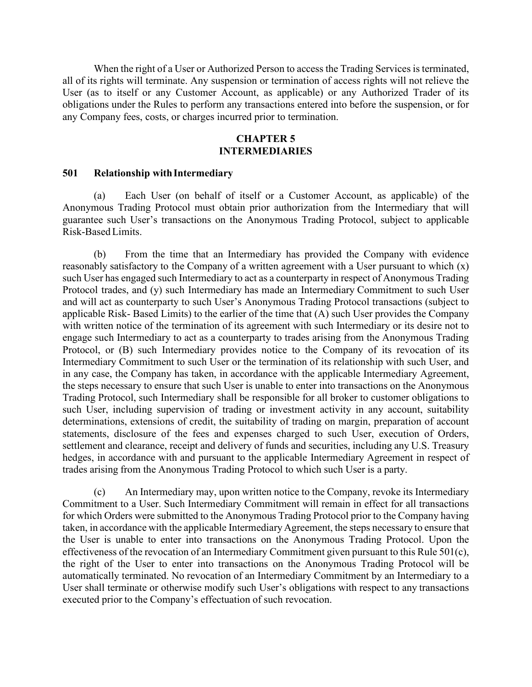When the right of a User or Authorized Person to access the Trading Services is terminated, all of its rights will terminate. Any suspension or termination of access rights will not relieve the User (as to itself or any Customer Account, as applicable) or any Authorized Trader of its obligations under the Rules to perform any transactions entered into before the suspension, or for any Company fees, costs, or charges incurred prior to termination.

## **CHAPTER 5 INTERMEDIARIES**

#### <span id="page-10-1"></span><span id="page-10-0"></span>**501 Relationship withIntermediary**

(a) Each User (on behalf of itself or a Customer Account, as applicable) of the Anonymous Trading Protocol must obtain prior authorization from the Intermediary that will guarantee such User's transactions on the Anonymous Trading Protocol, subject to applicable Risk-BasedLimits.

(b) From the time that an Intermediary has provided the Company with evidence reasonably satisfactory to the Company of a written agreement with a User pursuant to which (x) such User has engaged such Intermediary to act as a counterparty in respect of Anonymous Trading Protocol trades, and (y) such Intermediary has made an Intermediary Commitment to such User and will act as counterparty to such User's Anonymous Trading Protocol transactions (subject to applicable Risk- Based Limits) to the earlier of the time that (A) such User provides the Company with written notice of the termination of its agreement with such Intermediary or its desire not to engage such Intermediary to act as a counterparty to trades arising from the Anonymous Trading Protocol, or (B) such Intermediary provides notice to the Company of its revocation of its Intermediary Commitment to such User or the termination of its relationship with such User, and in any case, the Company has taken, in accordance with the applicable Intermediary Agreement, the steps necessary to ensure that such User is unable to enter into transactions on the Anonymous Trading Protocol, such Intermediary shall be responsible for all broker to customer obligations to such User, including supervision of trading or investment activity in any account, suitability determinations, extensions of credit, the suitability of trading on margin, preparation of account statements, disclosure of the fees and expenses charged to such User, execution of Orders, settlement and clearance, receipt and delivery of funds and securities, including any U.S. Treasury hedges, in accordance with and pursuant to the applicable Intermediary Agreement in respect of trades arising from the Anonymous Trading Protocol to which such User is a party.

(c) An Intermediary may, upon written notice to the Company, revoke its Intermediary Commitment to a User. Such Intermediary Commitment will remain in effect for all transactions for which Orders were submitted to the Anonymous Trading Protocol prior to the Company having taken, in accordance with the applicable Intermediary Agreement, the steps necessary to ensure that the User is unable to enter into transactions on the Anonymous Trading Protocol. Upon the effectiveness of the revocation of an Intermediary Commitment given pursuant to this Rule 501(c), the right of the User to enter into transactions on the Anonymous Trading Protocol will be automatically terminated. No revocation of an Intermediary Commitment by an Intermediary to a User shall terminate or otherwise modify such User's obligations with respect to any transactions executed prior to the Company's effectuation of such revocation.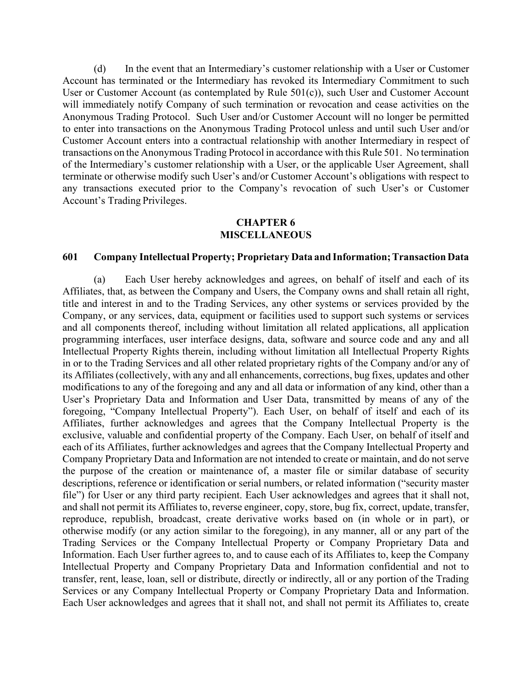(d) In the event that an Intermediary's customer relationship with a User or Customer Account has terminated or the Intermediary has revoked its Intermediary Commitment to such User or Customer Account (as contemplated by Rule 501(c)), such User and Customer Account will immediately notify Company of such termination or revocation and cease activities on the Anonymous Trading Protocol. Such User and/or Customer Account will no longer be permitted to enter into transactions on the Anonymous Trading Protocol unless and until such User and/or Customer Account enters into a contractual relationship with another Intermediary in respect of transactions on the Anonymous Trading Protocol in accordance with this Rule 501. No termination of the Intermediary's customer relationship with a User, or the applicable User Agreement, shall terminate or otherwise modify such User's and/or Customer Account's obligations with respect to any transactions executed prior to the Company's revocation of such User's or Customer Account's Trading Privileges.

#### **CHAPTER 6 MISCELLANEOUS**

#### <span id="page-11-1"></span><span id="page-11-0"></span>**601 Company Intellectual Property; Proprietary Data and Information;Transaction Data**

(a) Each User hereby acknowledges and agrees, on behalf of itself and each of its Affiliates, that, as between the Company and Users, the Company owns and shall retain all right, title and interest in and to the Trading Services, any other systems or services provided by the Company, or any services, data, equipment or facilities used to support such systems or services and all components thereof, including without limitation all related applications, all application programming interfaces, user interface designs, data, software and source code and any and all Intellectual Property Rights therein, including without limitation all Intellectual Property Rights in or to the Trading Services and all other related proprietary rights of the Company and/or any of its Affiliates (collectively, with any and all enhancements, corrections, bug fixes, updates and other modifications to any of the foregoing and any and all data or information of any kind, other than a User's Proprietary Data and Information and User Data, transmitted by means of any of the foregoing, "Company Intellectual Property"). Each User, on behalf of itself and each of its Affiliates, further acknowledges and agrees that the Company Intellectual Property is the exclusive, valuable and confidential property of the Company. Each User, on behalf of itself and each of its Affiliates, further acknowledges and agrees that the Company Intellectual Property and Company Proprietary Data and Information are not intended to create or maintain, and do not serve the purpose of the creation or maintenance of, a master file or similar database of security descriptions, reference or identification or serial numbers, or related information ("security master file") for User or any third party recipient. Each User acknowledges and agrees that it shall not, and shall not permit its Affiliates to, reverse engineer, copy, store, bug fix, correct, update, transfer, reproduce, republish, broadcast, create derivative works based on (in whole or in part), or otherwise modify (or any action similar to the foregoing), in any manner, all or any part of the Trading Services or the Company Intellectual Property or Company Proprietary Data and Information. Each User further agrees to, and to cause each of its Affiliates to, keep the Company Intellectual Property and Company Proprietary Data and Information confidential and not to transfer, rent, lease, loan, sell or distribute, directly or indirectly, all or any portion of the Trading Services or any Company Intellectual Property or Company Proprietary Data and Information. Each User acknowledges and agrees that it shall not, and shall not permit its Affiliates to, create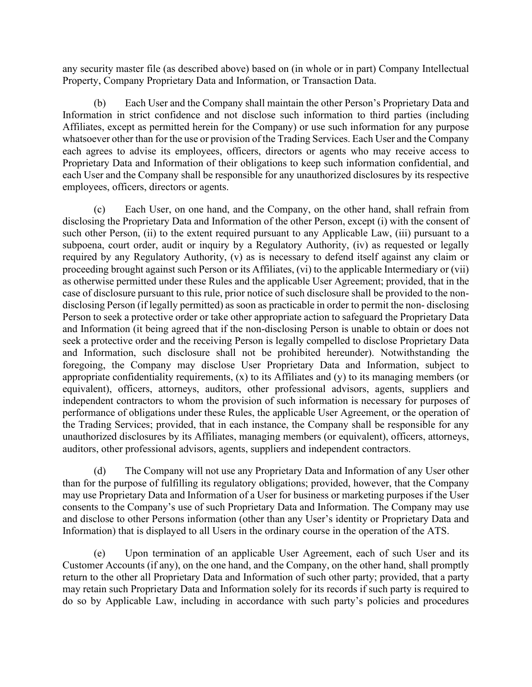any security master file (as described above) based on (in whole or in part) Company Intellectual Property, Company Proprietary Data and Information, or Transaction Data.

(b) Each User and the Company shall maintain the other Person's Proprietary Data and Information in strict confidence and not disclose such information to third parties (including Affiliates, except as permitted herein for the Company) or use such information for any purpose whatsoever other than for the use or provision of the Trading Services. Each User and the Company each agrees to advise its employees, officers, directors or agents who may receive access to Proprietary Data and Information of their obligations to keep such information confidential, and each User and the Company shall be responsible for any unauthorized disclosures by its respective employees, officers, directors or agents.

(c) Each User, on one hand, and the Company, on the other hand, shall refrain from disclosing the Proprietary Data and Information of the other Person, except (i) with the consent of such other Person, (ii) to the extent required pursuant to any Applicable Law, (iii) pursuant to a subpoena, court order, audit or inquiry by a Regulatory Authority, (iv) as requested or legally required by any Regulatory Authority, (v) as is necessary to defend itself against any claim or proceeding brought against such Person or its Affiliates, (vi) to the applicable Intermediary or (vii) as otherwise permitted under these Rules and the applicable User Agreement; provided, that in the case of disclosure pursuant to this rule, prior notice of such disclosure shall be provided to the nondisclosing Person (if legally permitted) as soon as practicable in order to permit the non- disclosing Person to seek a protective order or take other appropriate action to safeguard the Proprietary Data and Information (it being agreed that if the non-disclosing Person is unable to obtain or does not seek a protective order and the receiving Person is legally compelled to disclose Proprietary Data and Information, such disclosure shall not be prohibited hereunder). Notwithstanding the foregoing, the Company may disclose User Proprietary Data and Information, subject to appropriate confidentiality requirements, (x) to its Affiliates and (y) to its managing members (or equivalent), officers, attorneys, auditors, other professional advisors, agents, suppliers and independent contractors to whom the provision of such information is necessary for purposes of performance of obligations under these Rules, the applicable User Agreement, or the operation of the Trading Services; provided, that in each instance, the Company shall be responsible for any unauthorized disclosures by its Affiliates, managing members (or equivalent), officers, attorneys, auditors, other professional advisors, agents, suppliers and independent contractors.

(d) The Company will not use any Proprietary Data and Information of any User other than for the purpose of fulfilling its regulatory obligations; provided, however, that the Company may use Proprietary Data and Information of a User for business or marketing purposes if the User consents to the Company's use of such Proprietary Data and Information. The Company may use and disclose to other Persons information (other than any User's identity or Proprietary Data and Information) that is displayed to all Users in the ordinary course in the operation of the ATS.

(e) Upon termination of an applicable User Agreement, each of such User and its Customer Accounts (if any), on the one hand, and the Company, on the other hand, shall promptly return to the other all Proprietary Data and Information of such other party; provided, that a party may retain such Proprietary Data and Information solely for its records if such party is required to do so by Applicable Law, including in accordance with such party's policies and procedures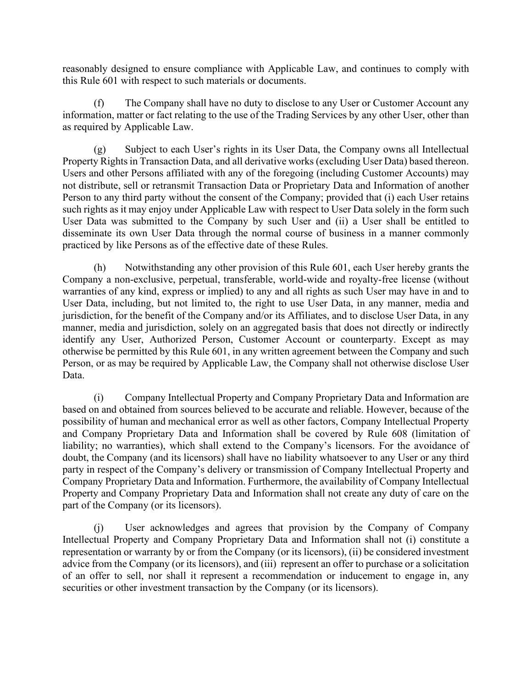reasonably designed to ensure compliance with Applicable Law, and continues to comply with this Rule 601 with respect to such materials or documents.

(f) The Company shall have no duty to disclose to any User or Customer Account any information, matter or fact relating to the use of the Trading Services by any other User, other than as required by Applicable Law.

(g) Subject to each User's rights in its User Data, the Company owns all Intellectual Property Rights in Transaction Data, and all derivative works (excluding User Data) based thereon. Users and other Persons affiliated with any of the foregoing (including Customer Accounts) may not distribute, sell or retransmit Transaction Data or Proprietary Data and Information of another Person to any third party without the consent of the Company; provided that (i) each User retains such rights as it may enjoy under Applicable Law with respect to User Data solely in the form such User Data was submitted to the Company by such User and (ii) a User shall be entitled to disseminate its own User Data through the normal course of business in a manner commonly practiced by like Persons as of the effective date of these Rules.

(h) Notwithstanding any other provision of this Rule 601, each User hereby grants the Company a non-exclusive, perpetual, transferable, world-wide and royalty-free license (without warranties of any kind, express or implied) to any and all rights as such User may have in and to User Data, including, but not limited to, the right to use User Data, in any manner, media and jurisdiction, for the benefit of the Company and/or its Affiliates, and to disclose User Data, in any manner, media and jurisdiction, solely on an aggregated basis that does not directly or indirectly identify any User, Authorized Person, Customer Account or counterparty. Except as may otherwise be permitted by this Rule 601, in any written agreement between the Company and such Person, or as may be required by Applicable Law, the Company shall not otherwise disclose User Data.

(i) Company Intellectual Property and Company Proprietary Data and Information are based on and obtained from sources believed to be accurate and reliable. However, because of the possibility of human and mechanical error as well as other factors, Company Intellectual Property and Company Proprietary Data and Information shall be covered by Rule 608 (limitation of liability; no warranties), which shall extend to the Company's licensors. For the avoidance of doubt, the Company (and its licensors) shall have no liability whatsoever to any User or any third party in respect of the Company's delivery or transmission of Company Intellectual Property and Company Proprietary Data and Information. Furthermore, the availability of Company Intellectual Property and Company Proprietary Data and Information shall not create any duty of care on the part of the Company (or its licensors).

(j) User acknowledges and agrees that provision by the Company of Company Intellectual Property and Company Proprietary Data and Information shall not (i) constitute a representation or warranty by or from the Company (or its licensors), (ii) be considered investment advice from the Company (or its licensors), and (iii) represent an offer to purchase or a solicitation of an offer to sell, nor shall it represent a recommendation or inducement to engage in, any securities or other investment transaction by the Company (or its licensors).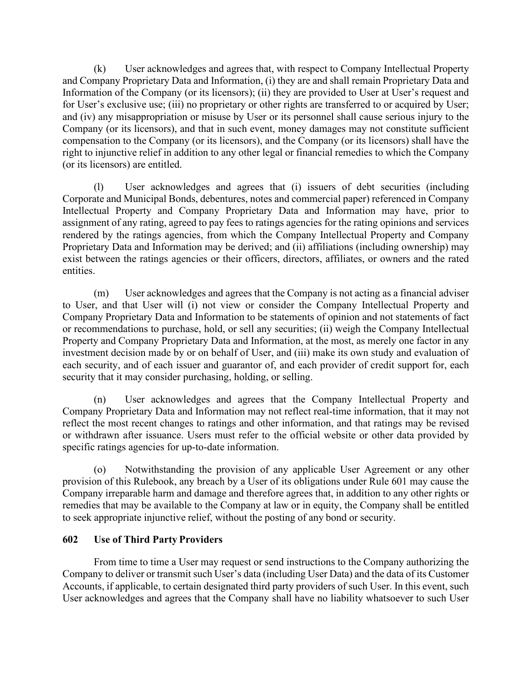(k) User acknowledges and agrees that, with respect to Company Intellectual Property and Company Proprietary Data and Information, (i) they are and shall remain Proprietary Data and Information of the Company (or its licensors); (ii) they are provided to User at User's request and for User's exclusive use; (iii) no proprietary or other rights are transferred to or acquired by User; and (iv) any misappropriation or misuse by User or its personnel shall cause serious injury to the Company (or its licensors), and that in such event, money damages may not constitute sufficient compensation to the Company (or its licensors), and the Company (or its licensors) shall have the right to injunctive relief in addition to any other legal or financial remedies to which the Company (or its licensors) are entitled.

(l) User acknowledges and agrees that (i) issuers of debt securities (including Corporate and Municipal Bonds, debentures, notes and commercial paper) referenced in Company Intellectual Property and Company Proprietary Data and Information may have, prior to assignment of any rating, agreed to pay fees to ratings agencies for the rating opinions and services rendered by the ratings agencies, from which the Company Intellectual Property and Company Proprietary Data and Information may be derived; and (ii) affiliations (including ownership) may exist between the ratings agencies or their officers, directors, affiliates, or owners and the rated entities.

(m) User acknowledges and agrees that the Company is not acting as a financial adviser to User, and that User will (i) not view or consider the Company Intellectual Property and Company Proprietary Data and Information to be statements of opinion and not statements of fact or recommendations to purchase, hold, or sell any securities; (ii) weigh the Company Intellectual Property and Company Proprietary Data and Information, at the most, as merely one factor in any investment decision made by or on behalf of User, and (iii) make its own study and evaluation of each security, and of each issuer and guarantor of, and each provider of credit support for, each security that it may consider purchasing, holding, or selling.

(n) User acknowledges and agrees that the Company Intellectual Property and Company Proprietary Data and Information may not reflect real-time information, that it may not reflect the most recent changes to ratings and other information, and that ratings may be revised or withdrawn after issuance. Users must refer to the official website or other data provided by specific ratings agencies for up-to-date information.

(o) Notwithstanding the provision of any applicable User Agreement or any other provision of this Rulebook, any breach by a User of its obligations under Rule 601 may cause the Company irreparable harm and damage and therefore agrees that, in addition to any other rights or remedies that may be available to the Company at law or in equity, the Company shall be entitled to seek appropriate injunctive relief, without the posting of any bond or security.

# <span id="page-14-0"></span>**602 Use of Third Party Providers**

From time to time a User may request or send instructions to the Company authorizing the Company to deliver or transmit such User's data (including User Data) and the data of its Customer Accounts, if applicable, to certain designated third party providers of such User. In this event, such User acknowledges and agrees that the Company shall have no liability whatsoever to such User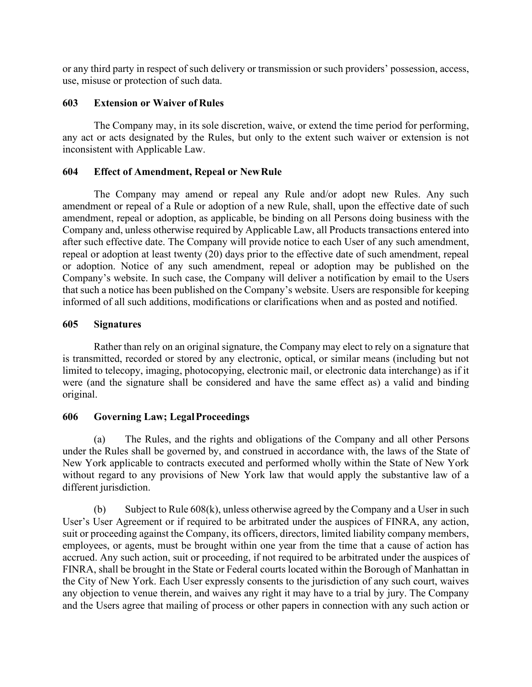or any third party in respect of such delivery or transmission or such providers' possession, access, use, misuse or protection of such data.

# <span id="page-15-0"></span>**603 Extension or Waiver of Rules**

The Company may, in its sole discretion, waive, or extend the time period for performing, any act or acts designated by the Rules, but only to the extent such waiver or extension is not inconsistent with Applicable Law.

# <span id="page-15-1"></span>**604 Effect of Amendment, Repeal or NewRule**

The Company may amend or repeal any Rule and/or adopt new Rules. Any such amendment or repeal of a Rule or adoption of a new Rule, shall, upon the effective date of such amendment, repeal or adoption, as applicable, be binding on all Persons doing business with the Company and, unless otherwise required by Applicable Law, all Products transactions entered into after such effective date. The Company will provide notice to each User of any such amendment, repeal or adoption at least twenty (20) days prior to the effective date of such amendment, repeal or adoption. Notice of any such amendment, repeal or adoption may be published on the Company's website. In such case, the Company will deliver a notification by email to the Users that such a notice has been published on the Company's website. Users are responsible for keeping informed of all such additions, modifications or clarifications when and as posted and notified.

# <span id="page-15-2"></span>**605 Signatures**

Rather than rely on an original signature, the Company may elect to rely on a signature that is transmitted, recorded or stored by any electronic, optical, or similar means (including but not limited to telecopy, imaging, photocopying, electronic mail, or electronic data interchange) as if it were (and the signature shall be considered and have the same effect as) a valid and binding original.

# <span id="page-15-3"></span>**606 Governing Law; LegalProceedings**

(a) The Rules, and the rights and obligations of the Company and all other Persons under the Rules shall be governed by, and construed in accordance with, the laws of the State of New York applicable to contracts executed and performed wholly within the State of New York without regard to any provisions of New York law that would apply the substantive law of a different jurisdiction.

(b) Subject to Rule 608(k), unless otherwise agreed by the Company and a User in such User's User Agreement or if required to be arbitrated under the auspices of FINRA, any action, suit or proceeding against the Company, its officers, directors, limited liability company members, employees, or agents, must be brought within one year from the time that a cause of action has accrued. Any such action, suit or proceeding, if not required to be arbitrated under the auspices of FINRA, shall be brought in the State or Federal courts located within the Borough of Manhattan in the City of New York. Each User expressly consents to the jurisdiction of any such court, waives any objection to venue therein, and waives any right it may have to a trial by jury. The Company and the Users agree that mailing of process or other papers in connection with any such action or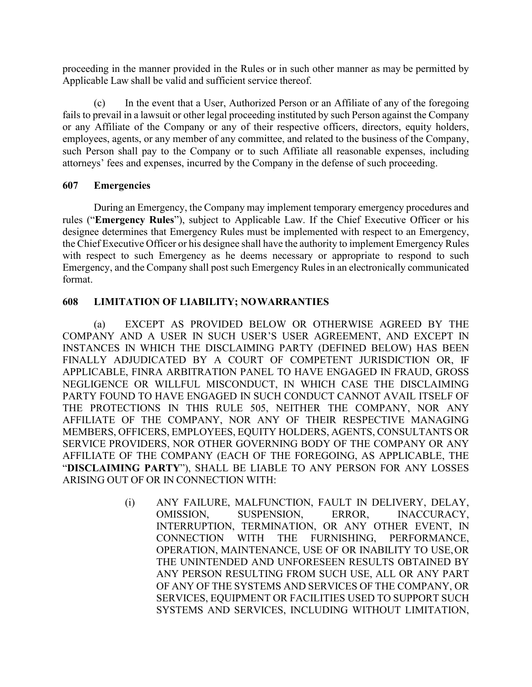proceeding in the manner provided in the Rules or in such other manner as may be permitted by Applicable Law shall be valid and sufficient service thereof.

(c) In the event that a User, Authorized Person or an Affiliate of any of the foregoing fails to prevail in a lawsuit or other legal proceeding instituted by such Person against the Company or any Affiliate of the Company or any of their respective officers, directors, equity holders, employees, agents, or any member of any committee, and related to the business of the Company, such Person shall pay to the Company or to such Affiliate all reasonable expenses, including attorneys' fees and expenses, incurred by the Company in the defense of such proceeding.

# <span id="page-16-0"></span>**607 Emergencies**

During an Emergency, the Company may implement temporary emergency procedures and rules ("**Emergency Rules**"), subject to Applicable Law. If the Chief Executive Officer or his designee determines that Emergency Rules must be implemented with respect to an Emergency, the Chief Executive Officer or his designee shall have the authority to implement Emergency Rules with respect to such Emergency as he deems necessary or appropriate to respond to such Emergency, and the Company shall post such Emergency Rules in an electronically communicated format.

# <span id="page-16-1"></span>**608 LIMITATION OF LIABILITY; NOWARRANTIES**

(a) EXCEPT AS PROVIDED BELOW OR OTHERWISE AGREED BY THE COMPANY AND A USER IN SUCH USER'S USER AGREEMENT, AND EXCEPT IN INSTANCES IN WHICH THE DISCLAIMING PARTY (DEFINED BELOW) HAS BEEN FINALLY ADJUDICATED BY A COURT OF COMPETENT JURISDICTION OR, IF APPLICABLE, FINRA ARBITRATION PANEL TO HAVE ENGAGED IN FRAUD, GROSS NEGLIGENCE OR WILLFUL MISCONDUCT, IN WHICH CASE THE DISCLAIMING PARTY FOUND TO HAVE ENGAGED IN SUCH CONDUCT CANNOT AVAIL ITSELF OF THE PROTECTIONS IN THIS RULE 505, NEITHER THE COMPANY, NOR ANY AFFILIATE OF THE COMPANY, NOR ANY OF THEIR RESPECTIVE MANAGING MEMBERS, OFFICERS, EMPLOYEES, EQUITY HOLDERS, AGENTS, CONSULTANTS OR SERVICE PROVIDERS, NOR OTHER GOVERNING BODY OF THE COMPANY OR ANY AFFILIATE OF THE COMPANY (EACH OF THE FOREGOING, AS APPLICABLE, THE "**DISCLAIMING PARTY**"), SHALL BE LIABLE TO ANY PERSON FOR ANY LOSSES ARISING OUT OF OR IN CONNECTION WITH:

> (i) ANY FAILURE, MALFUNCTION, FAULT IN DELIVERY, DELAY, OMISSION, SUSPENSION, ERROR, INACCURACY, INTERRUPTION, TERMINATION, OR ANY OTHER EVENT, IN CONNECTION WITH THE FURNISHING, PERFORMANCE, OPERATION, MAINTENANCE, USE OF OR INABILITY TO USE,OR THE UNINTENDED AND UNFORESEEN RESULTS OBTAINED BY ANY PERSON RESULTING FROM SUCH USE, ALL OR ANY PART OF ANY OF THE SYSTEMS AND SERVICES OF THE COMPANY, OR SERVICES, EQUIPMENT OR FACILITIES USED TO SUPPORT SUCH SYSTEMS AND SERVICES, INCLUDING WITHOUT LIMITATION,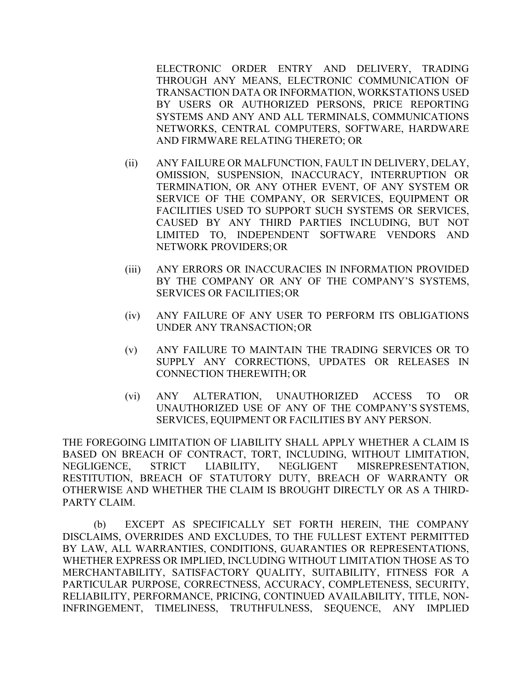ELECTRONIC ORDER ENTRY AND DELIVERY, TRADING THROUGH ANY MEANS, ELECTRONIC COMMUNICATION OF TRANSACTION DATA OR INFORMATION, WORKSTATIONS USED BY USERS OR AUTHORIZED PERSONS, PRICE REPORTING SYSTEMS AND ANY AND ALL TERMINALS, COMMUNICATIONS NETWORKS, CENTRAL COMPUTERS, SOFTWARE, HARDWARE AND FIRMWARE RELATING THERETO; OR

- (ii) ANY FAILURE OR MALFUNCTION, FAULT IN DELIVERY, DELAY, OMISSION, SUSPENSION, INACCURACY, INTERRUPTION OR TERMINATION, OR ANY OTHER EVENT, OF ANY SYSTEM OR SERVICE OF THE COMPANY, OR SERVICES, EQUIPMENT OR FACILITIES USED TO SUPPORT SUCH SYSTEMS OR SERVICES, CAUSED BY ANY THIRD PARTIES INCLUDING, BUT NOT LIMITED TO, INDEPENDENT SOFTWARE VENDORS AND NETWORK PROVIDERS;OR
- (iii) ANY ERRORS OR INACCURACIES IN INFORMATION PROVIDED BY THE COMPANY OR ANY OF THE COMPANY'S SYSTEMS, SERVICES OR FACILITIES;OR
- (iv) ANY FAILURE OF ANY USER TO PERFORM ITS OBLIGATIONS UNDER ANY TRANSACTION;OR
- (v) ANY FAILURE TO MAINTAIN THE TRADING SERVICES OR TO SUPPLY ANY CORRECTIONS, UPDATES OR RELEASES IN CONNECTION THEREWITH; OR
- (vi) ANY ALTERATION, UNAUTHORIZED ACCESS TO OR UNAUTHORIZED USE OF ANY OF THE COMPANY'S SYSTEMS, SERVICES, EQUIPMENT OR FACILITIES BY ANY PERSON.

THE FOREGOING LIMITATION OF LIABILITY SHALL APPLY WHETHER A CLAIM IS BASED ON BREACH OF CONTRACT, TORT, INCLUDING, WITHOUT LIMITATION, NEGLIGENCE, STRICT LIABILITY, NEGLIGENT MISREPRESENTATION, RESTITUTION, BREACH OF STATUTORY DUTY, BREACH OF WARRANTY OR OTHERWISE AND WHETHER THE CLAIM IS BROUGHT DIRECTLY OR AS A THIRD-PARTY CLAIM.

(b) EXCEPT AS SPECIFICALLY SET FORTH HEREIN, THE COMPANY DISCLAIMS, OVERRIDES AND EXCLUDES, TO THE FULLEST EXTENT PERMITTED BY LAW, ALL WARRANTIES, CONDITIONS, GUARANTIES OR REPRESENTATIONS, WHETHER EXPRESS OR IMPLIED, INCLUDING WITHOUT LIMITATION THOSE AS TO MERCHANTABILITY, SATISFACTORY QUALITY, SUITABILITY, FITNESS FOR A PARTICULAR PURPOSE, CORRECTNESS, ACCURACY, COMPLETENESS, SECURITY, RELIABILITY, PERFORMANCE, PRICING, CONTINUED AVAILABILITY, TITLE, NON-INFRINGEMENT, TIMELINESS, TRUTHFULNESS, SEQUENCE, ANY IMPLIED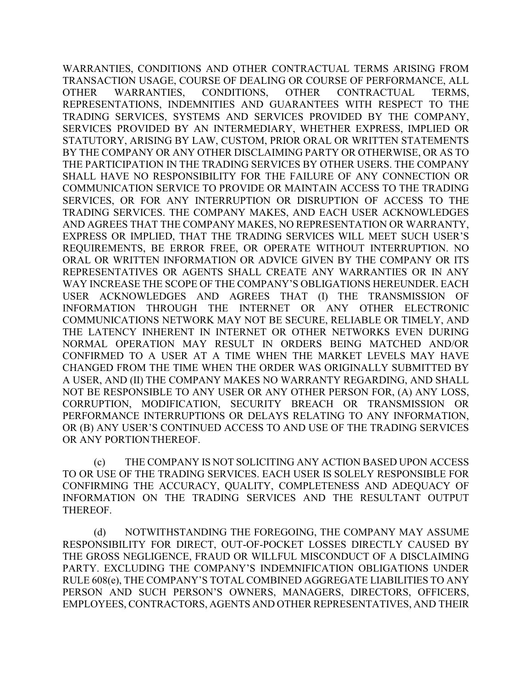WARRANTIES, CONDITIONS AND OTHER CONTRACTUAL TERMS ARISING FROM TRANSACTION USAGE, COURSE OF DEALING OR COURSE OF PERFORMANCE, ALL OTHER WARRANTIES, CONDITIONS, OTHER CONTRACTUAL TERMS, REPRESENTATIONS, INDEMNITIES AND GUARANTEES WITH RESPECT TO THE TRADING SERVICES, SYSTEMS AND SERVICES PROVIDED BY THE COMPANY, SERVICES PROVIDED BY AN INTERMEDIARY, WHETHER EXPRESS, IMPLIED OR STATUTORY, ARISING BY LAW, CUSTOM, PRIOR ORAL OR WRITTEN STATEMENTS BY THE COMPANY OR ANY OTHER DISCLAIMING PARTY OR OTHERWISE, OR AS TO THE PARTICIPATION IN THE TRADING SERVICES BY OTHER USERS. THE COMPANY SHALL HAVE NO RESPONSIBILITY FOR THE FAILURE OF ANY CONNECTION OR COMMUNICATION SERVICE TO PROVIDE OR MAINTAIN ACCESS TO THE TRADING SERVICES, OR FOR ANY INTERRUPTION OR DISRUPTION OF ACCESS TO THE TRADING SERVICES. THE COMPANY MAKES, AND EACH USER ACKNOWLEDGES AND AGREES THAT THE COMPANY MAKES, NO REPRESENTATION OR WARRANTY, EXPRESS OR IMPLIED, THAT THE TRADING SERVICES WILL MEET SUCH USER'S REQUIREMENTS, BE ERROR FREE, OR OPERATE WITHOUT INTERRUPTION. NO ORAL OR WRITTEN INFORMATION OR ADVICE GIVEN BY THE COMPANY OR ITS REPRESENTATIVES OR AGENTS SHALL CREATE ANY WARRANTIES OR IN ANY WAY INCREASE THE SCOPE OF THE COMPANY'S OBLIGATIONS HEREUNDER. EACH USER ACKNOWLEDGES AND AGREES THAT (I) THE TRANSMISSION OF INFORMATION THROUGH THE INTERNET OR ANY OTHER ELECTRONIC COMMUNICATIONS NETWORK MAY NOT BE SECURE, RELIABLE OR TIMELY, AND THE LATENCY INHERENT IN INTERNET OR OTHER NETWORKS EVEN DURING NORMAL OPERATION MAY RESULT IN ORDERS BEING MATCHED AND/OR CONFIRMED TO A USER AT A TIME WHEN THE MARKET LEVELS MAY HAVE CHANGED FROM THE TIME WHEN THE ORDER WAS ORIGINALLY SUBMITTED BY A USER, AND (II) THE COMPANY MAKES NO WARRANTY REGARDING, AND SHALL NOT BE RESPONSIBLE TO ANY USER OR ANY OTHER PERSON FOR, (A) ANY LOSS, CORRUPTION, MODIFICATION, SECURITY BREACH OR TRANSMISSION OR PERFORMANCE INTERRUPTIONS OR DELAYS RELATING TO ANY INFORMATION, OR (B) ANY USER'S CONTINUED ACCESS TO AND USE OF THE TRADING SERVICES OR ANY PORTIONTHEREOF.

(c) THE COMPANY IS NOT SOLICITING ANY ACTION BASED UPON ACCESS TO OR USE OF THE TRADING SERVICES. EACH USER IS SOLELY RESPONSIBLE FOR CONFIRMING THE ACCURACY, QUALITY, COMPLETENESS AND ADEQUACY OF INFORMATION ON THE TRADING SERVICES AND THE RESULTANT OUTPUT THEREOF.

(d) NOTWITHSTANDING THE FOREGOING, THE COMPANY MAY ASSUME RESPONSIBILITY FOR DIRECT, OUT-OF-POCKET LOSSES DIRECTLY CAUSED BY THE GROSS NEGLIGENCE, FRAUD OR WILLFUL MISCONDUCT OF A DISCLAIMING PARTY. EXCLUDING THE COMPANY'S INDEMNIFICATION OBLIGATIONS UNDER RULE 608(e), THE COMPANY'S TOTAL COMBINED AGGREGATE LIABILITIES TO ANY PERSON AND SUCH PERSON'S OWNERS, MANAGERS, DIRECTORS, OFFICERS, EMPLOYEES, CONTRACTORS, AGENTS AND OTHER REPRESENTATIVES, AND THEIR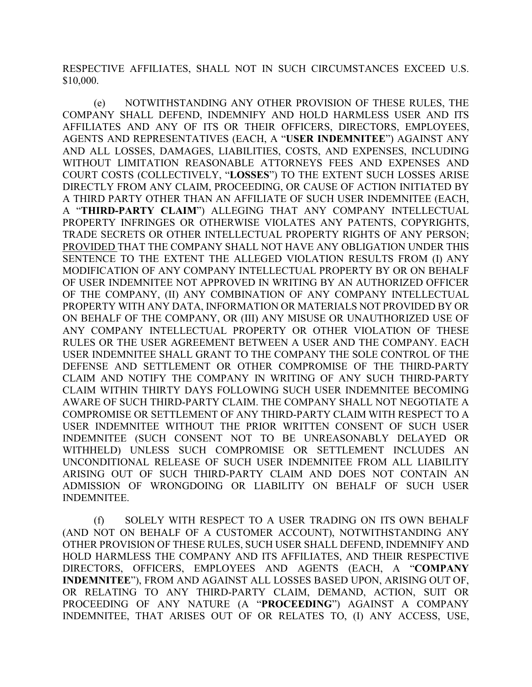RESPECTIVE AFFILIATES, SHALL NOT IN SUCH CIRCUMSTANCES EXCEED U.S. \$10,000.

(e) NOTWITHSTANDING ANY OTHER PROVISION OF THESE RULES, THE COMPANY SHALL DEFEND, INDEMNIFY AND HOLD HARMLESS USER AND ITS AFFILIATES AND ANY OF ITS OR THEIR OFFICERS, DIRECTORS, EMPLOYEES, AGENTS AND REPRESENTATIVES (EACH, A "**USER INDEMNITEE**") AGAINST ANY AND ALL LOSSES, DAMAGES, LIABILITIES, COSTS, AND EXPENSES, INCLUDING WITHOUT LIMITATION REASONABLE ATTORNEYS FEES AND EXPENSES AND COURT COSTS (COLLECTIVELY, "**LOSSES**") TO THE EXTENT SUCH LOSSES ARISE DIRECTLY FROM ANY CLAIM, PROCEEDING, OR CAUSE OF ACTION INITIATED BY A THIRD PARTY OTHER THAN AN AFFILIATE OF SUCH USER INDEMNITEE (EACH, A "**THIRD-PARTY CLAIM**") ALLEGING THAT ANY COMPANY INTELLECTUAL PROPERTY INFRINGES OR OTHERWISE VIOLATES ANY PATENTS, COPYRIGHTS, TRADE SECRETS OR OTHER INTELLECTUAL PROPERTY RIGHTS OF ANY PERSON; PROVIDED THAT THE COMPANY SHALL NOT HAVE ANY OBLIGATION UNDER THIS SENTENCE TO THE EXTENT THE ALLEGED VIOLATION RESULTS FROM (I) ANY MODIFICATION OF ANY COMPANY INTELLECTUAL PROPERTY BY OR ON BEHALF OF USER INDEMNITEE NOT APPROVED IN WRITING BY AN AUTHORIZED OFFICER OF THE COMPANY, (II) ANY COMBINATION OF ANY COMPANY INTELLECTUAL PROPERTY WITH ANY DATA, INFORMATION OR MATERIALS NOT PROVIDED BY OR ON BEHALF OF THE COMPANY, OR (III) ANY MISUSE OR UNAUTHORIZED USE OF ANY COMPANY INTELLECTUAL PROPERTY OR OTHER VIOLATION OF THESE RULES OR THE USER AGREEMENT BETWEEN A USER AND THE COMPANY. EACH USER INDEMNITEE SHALL GRANT TO THE COMPANY THE SOLE CONTROL OF THE DEFENSE AND SETTLEMENT OR OTHER COMPROMISE OF THE THIRD-PARTY CLAIM AND NOTIFY THE COMPANY IN WRITING OF ANY SUCH THIRD-PARTY CLAIM WITHIN THIRTY DAYS FOLLOWING SUCH USER INDEMNITEE BECOMING AWARE OF SUCH THIRD-PARTY CLAIM. THE COMPANY SHALL NOT NEGOTIATE A COMPROMISE OR SETTLEMENT OF ANY THIRD-PARTY CLAIM WITH RESPECT TO A USER INDEMNITEE WITHOUT THE PRIOR WRITTEN CONSENT OF SUCH USER INDEMNITEE (SUCH CONSENT NOT TO BE UNREASONABLY DELAYED OR WITHHELD) UNLESS SUCH COMPROMISE OR SETTLEMENT INCLUDES AN UNCONDITIONAL RELEASE OF SUCH USER INDEMNITEE FROM ALL LIABILITY ARISING OUT OF SUCH THIRD-PARTY CLAIM AND DOES NOT CONTAIN AN ADMISSION OF WRONGDOING OR LIABILITY ON BEHALF OF SUCH USER INDEMNITEE.

(f) SOLELY WITH RESPECT TO A USER TRADING ON ITS OWN BEHALF (AND NOT ON BEHALF OF A CUSTOMER ACCOUNT), NOTWITHSTANDING ANY OTHER PROVISION OF THESE RULES, SUCH USER SHALL DEFEND, INDEMNIFY AND HOLD HARMLESS THE COMPANY AND ITS AFFILIATES, AND THEIR RESPECTIVE DIRECTORS, OFFICERS, EMPLOYEES AND AGENTS (EACH, A "**COMPANY INDEMNITEE**"), FROM AND AGAINST ALL LOSSES BASED UPON, ARISING OUT OF, OR RELATING TO ANY THIRD-PARTY CLAIM, DEMAND, ACTION, SUIT OR PROCEEDING OF ANY NATURE (A "**PROCEEDING**") AGAINST A COMPANY INDEMNITEE, THAT ARISES OUT OF OR RELATES TO, (I) ANY ACCESS, USE,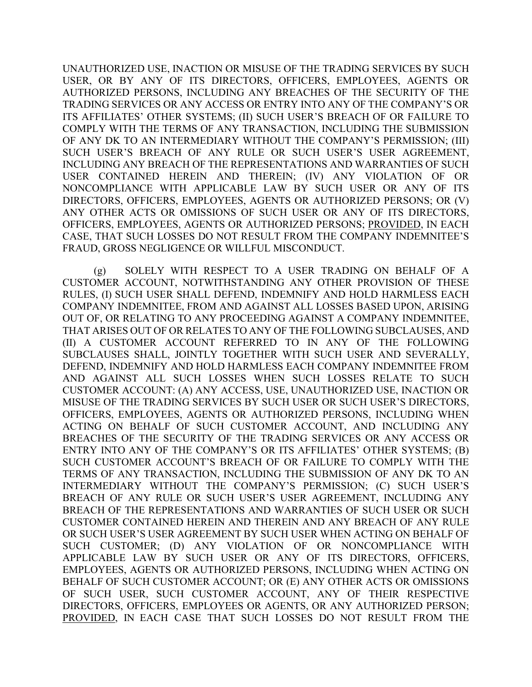UNAUTHORIZED USE, INACTION OR MISUSE OF THE TRADING SERVICES BY SUCH USER, OR BY ANY OF ITS DIRECTORS, OFFICERS, EMPLOYEES, AGENTS OR AUTHORIZED PERSONS, INCLUDING ANY BREACHES OF THE SECURITY OF THE TRADING SERVICES OR ANY ACCESS OR ENTRY INTO ANY OF THE COMPANY'S OR ITS AFFILIATES' OTHER SYSTEMS; (II) SUCH USER'S BREACH OF OR FAILURE TO COMPLY WITH THE TERMS OF ANY TRANSACTION, INCLUDING THE SUBMISSION OF ANY DK TO AN INTERMEDIARY WITHOUT THE COMPANY'S PERMISSION; (III) SUCH USER'S BREACH OF ANY RULE OR SUCH USER'S USER AGREEMENT, INCLUDING ANY BREACH OF THE REPRESENTATIONS AND WARRANTIES OF SUCH USER CONTAINED HEREIN AND THEREIN; (IV) ANY VIOLATION OF OR NONCOMPLIANCE WITH APPLICABLE LAW BY SUCH USER OR ANY OF ITS DIRECTORS, OFFICERS, EMPLOYEES, AGENTS OR AUTHORIZED PERSONS; OR (V) ANY OTHER ACTS OR OMISSIONS OF SUCH USER OR ANY OF ITS DIRECTORS, OFFICERS, EMPLOYEES, AGENTS OR AUTHORIZED PERSONS; PROVIDED, IN EACH CASE, THAT SUCH LOSSES DO NOT RESULT FROM THE COMPANY INDEMNITEE'S FRAUD, GROSS NEGLIGENCE OR WILLFUL MISCONDUCT.

(g) SOLELY WITH RESPECT TO A USER TRADING ON BEHALF OF A CUSTOMER ACCOUNT, NOTWITHSTANDING ANY OTHER PROVISION OF THESE RULES, (I) SUCH USER SHALL DEFEND, INDEMNIFY AND HOLD HARMLESS EACH COMPANY INDEMNITEE, FROM AND AGAINST ALL LOSSES BASED UPON, ARISING OUT OF, OR RELATING TO ANY PROCEEDING AGAINST A COMPANY INDEMNITEE, THAT ARISES OUT OF OR RELATES TO ANY OF THE FOLLOWING SUBCLAUSES, AND (II) A CUSTOMER ACCOUNT REFERRED TO IN ANY OF THE FOLLOWING SUBCLAUSES SHALL, JOINTLY TOGETHER WITH SUCH USER AND SEVERALLY, DEFEND, INDEMNIFY AND HOLD HARMLESS EACH COMPANY INDEMNITEE FROM AND AGAINST ALL SUCH LOSSES WHEN SUCH LOSSES RELATE TO SUCH CUSTOMER ACCOUNT: (A) ANY ACCESS, USE, UNAUTHORIZED USE, INACTION OR MISUSE OF THE TRADING SERVICES BY SUCH USER OR SUCH USER'S DIRECTORS, OFFICERS, EMPLOYEES, AGENTS OR AUTHORIZED PERSONS, INCLUDING WHEN ACTING ON BEHALF OF SUCH CUSTOMER ACCOUNT, AND INCLUDING ANY BREACHES OF THE SECURITY OF THE TRADING SERVICES OR ANY ACCESS OR ENTRY INTO ANY OF THE COMPANY'S OR ITS AFFILIATES' OTHER SYSTEMS; (B) SUCH CUSTOMER ACCOUNT'S BREACH OF OR FAILURE TO COMPLY WITH THE TERMS OF ANY TRANSACTION, INCLUDING THE SUBMISSION OF ANY DK TO AN INTERMEDIARY WITHOUT THE COMPANY'S PERMISSION; (C) SUCH USER'S BREACH OF ANY RULE OR SUCH USER'S USER AGREEMENT, INCLUDING ANY BREACH OF THE REPRESENTATIONS AND WARRANTIES OF SUCH USER OR SUCH CUSTOMER CONTAINED HEREIN AND THEREIN AND ANY BREACH OF ANY RULE OR SUCH USER'S USER AGREEMENT BY SUCH USER WHEN ACTING ON BEHALF OF SUCH CUSTOMER; (D) ANY VIOLATION OF OR NONCOMPLIANCE WITH APPLICABLE LAW BY SUCH USER OR ANY OF ITS DIRECTORS, OFFICERS, EMPLOYEES, AGENTS OR AUTHORIZED PERSONS, INCLUDING WHEN ACTING ON BEHALF OF SUCH CUSTOMER ACCOUNT; OR (E) ANY OTHER ACTS OR OMISSIONS OF SUCH USER, SUCH CUSTOMER ACCOUNT, ANY OF THEIR RESPECTIVE DIRECTORS, OFFICERS, EMPLOYEES OR AGENTS, OR ANY AUTHORIZED PERSON; PROVIDED, IN EACH CASE THAT SUCH LOSSES DO NOT RESULT FROM THE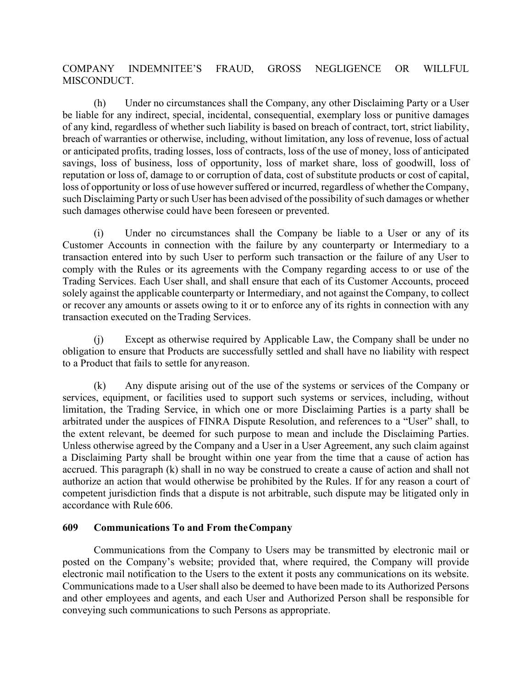# COMPANY INDEMNITEE'S FRAUD, GROSS NEGLIGENCE OR WILLFUL MISCONDUCT.

(h) Under no circumstances shall the Company, any other Disclaiming Party or a User be liable for any indirect, special, incidental, consequential, exemplary loss or punitive damages of any kind, regardless of whether such liability is based on breach of contract, tort, strict liability, breach of warranties or otherwise, including, without limitation, any loss of revenue, loss of actual or anticipated profits, trading losses, loss of contracts, loss of the use of money, loss of anticipated savings, loss of business, loss of opportunity, loss of market share, loss of goodwill, loss of reputation or loss of, damage to or corruption of data, cost of substitute products or cost of capital, loss of opportunity or loss of use however suffered or incurred, regardless of whether the Company, such Disclaiming Party or such User has been advised of the possibility of such damages or whether such damages otherwise could have been foreseen or prevented.

(i) Under no circumstances shall the Company be liable to a User or any of its Customer Accounts in connection with the failure by any counterparty or Intermediary to a transaction entered into by such User to perform such transaction or the failure of any User to comply with the Rules or its agreements with the Company regarding access to or use of the Trading Services. Each User shall, and shall ensure that each of its Customer Accounts, proceed solely against the applicable counterparty or Intermediary, and not against the Company, to collect or recover any amounts or assets owing to it or to enforce any of its rights in connection with any transaction executed on theTrading Services.

(j) Except as otherwise required by Applicable Law, the Company shall be under no obligation to ensure that Products are successfully settled and shall have no liability with respect to a Product that fails to settle for anyreason.

(k) Any dispute arising out of the use of the systems or services of the Company or services, equipment, or facilities used to support such systems or services, including, without limitation, the Trading Service, in which one or more Disclaiming Parties is a party shall be arbitrated under the auspices of FINRA Dispute Resolution, and references to a "User" shall, to the extent relevant, be deemed for such purpose to mean and include the Disclaiming Parties. Unless otherwise agreed by the Company and a User in a User Agreement, any such claim against a Disclaiming Party shall be brought within one year from the time that a cause of action has accrued. This paragraph (k) shall in no way be construed to create a cause of action and shall not authorize an action that would otherwise be prohibited by the Rules. If for any reason a court of competent jurisdiction finds that a dispute is not arbitrable, such dispute may be litigated only in accordance with Rule 606.

## <span id="page-21-0"></span>**609 Communications To and From theCompany**

Communications from the Company to Users may be transmitted by electronic mail or posted on the Company's website; provided that, where required, the Company will provide electronic mail notification to the Users to the extent it posts any communications on its website. Communications made to a User shall also be deemed to have been made to its Authorized Persons and other employees and agents, and each User and Authorized Person shall be responsible for conveying such communications to such Persons as appropriate.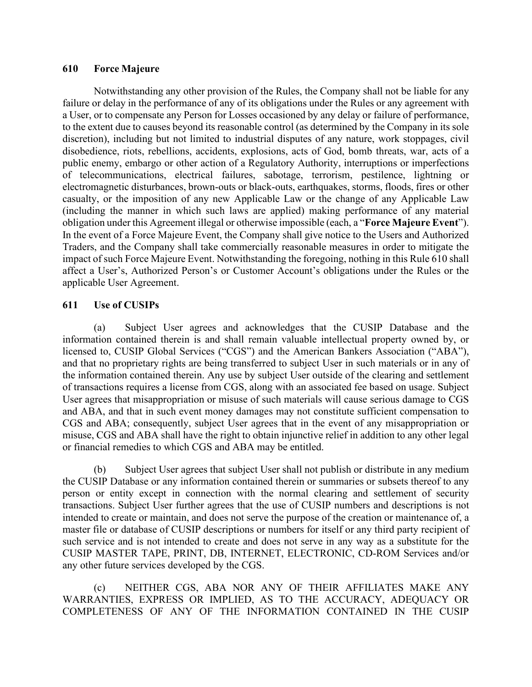#### <span id="page-22-0"></span>**610 Force Majeure**

Notwithstanding any other provision of the Rules, the Company shall not be liable for any failure or delay in the performance of any of its obligations under the Rules or any agreement with a User, or to compensate any Person for Losses occasioned by any delay or failure of performance, to the extent due to causes beyond its reasonable control (as determined by the Company in its sole discretion), including but not limited to industrial disputes of any nature, work stoppages, civil disobedience, riots, rebellions, accidents, explosions, acts of God, bomb threats, war, acts of a public enemy, embargo or other action of a Regulatory Authority, interruptions or imperfections of telecommunications, electrical failures, sabotage, terrorism, pestilence, lightning or electromagnetic disturbances, brown-outs or black-outs, earthquakes, storms, floods, fires or other casualty, or the imposition of any new Applicable Law or the change of any Applicable Law (including the manner in which such laws are applied) making performance of any material obligation under this Agreement illegal or otherwise impossible (each, a "**Force Majeure Event**"). In the event of a Force Majeure Event, the Company shall give notice to the Users and Authorized Traders, and the Company shall take commercially reasonable measures in order to mitigate the impact of such Force Majeure Event. Notwithstanding the foregoing, nothing in this Rule 610 shall affect a User's, Authorized Person's or Customer Account's obligations under the Rules or the applicable User Agreement.

# <span id="page-22-1"></span>**611 Use of CUSIPs**

(a) Subject User agrees and acknowledges that the CUSIP Database and the information contained therein is and shall remain valuable intellectual property owned by, or licensed to, CUSIP Global Services ("CGS") and the American Bankers Association ("ABA"), and that no proprietary rights are being transferred to subject User in such materials or in any of the information contained therein. Any use by subject User outside of the clearing and settlement of transactions requires a license from CGS, along with an associated fee based on usage. Subject User agrees that misappropriation or misuse of such materials will cause serious damage to CGS and ABA, and that in such event money damages may not constitute sufficient compensation to CGS and ABA; consequently, subject User agrees that in the event of any misappropriation or misuse, CGS and ABA shall have the right to obtain injunctive relief in addition to any other legal or financial remedies to which CGS and ABA may be entitled.

(b) Subject User agrees that subject User shall not publish or distribute in any medium the CUSIP Database or any information contained therein or summaries or subsets thereof to any person or entity except in connection with the normal clearing and settlement of security transactions. Subject User further agrees that the use of CUSIP numbers and descriptions is not intended to create or maintain, and does not serve the purpose of the creation or maintenance of, a master file or database of CUSIP descriptions or numbers for itself or any third party recipient of such service and is not intended to create and does not serve in any way as a substitute for the CUSIP MASTER TAPE, PRINT, DB, INTERNET, ELECTRONIC, CD-ROM Services and/or any other future services developed by the CGS.

(c) NEITHER CGS, ABA NOR ANY OF THEIR AFFILIATES MAKE ANY WARRANTIES, EXPRESS OR IMPLIED, AS TO THE ACCURACY, ADEQUACY OR COMPLETENESS OF ANY OF THE INFORMATION CONTAINED IN THE CUSIP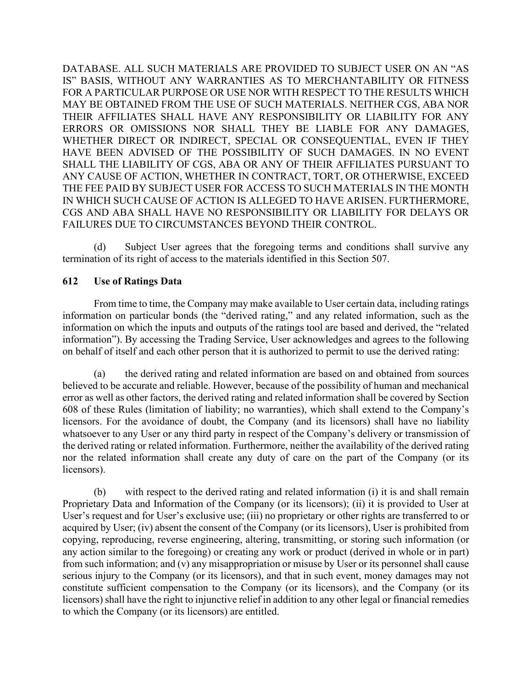DATABASE. ALL SUCH MATERIALS ARE PROVIDED TO SUBJECT USER ON AN "AS IS" BASIS, WITHOUT ANY WARRANTIES AS TO MERCHANTABILITY OR FITNESS FOR A PARTICULAR PURPOSE OR USE NOR WITH RESPECT TO THE RESULTS WHICH MAY BE OBTAINED FROM THE USE OF SUCH MATERIALS. NEITHER CGS, ABA NOR THEIR AFFILIATES SHALL HAVE ANY RESPONSIBILITY OR LIABILITY FOR ANY ERRORS OR OMISSIONS NOR SHALL THEY BE LIABLE FOR ANY DAMAGES, WHETHER DIRECT OR INDIRECT, SPECIAL OR CONSEQUENTIAL, EVEN IF THEY HAVE BEEN ADVISED OF THE POSSIBILITY OF SUCH DAMAGES. IN NO EVENT SHALL THE LIABILITY OF CGS, ABA OR ANY OF THEIR AFFILIATES PURSUANT TO ANY CAUSE OF ACTION, WHETHER IN CONTRACT, TORT, OR OTHERWISE, EXCEED THE FEE PAID BY SUBJECT USER FOR ACCESS TO SUCH MATERIALS IN THE MONTH IN WHICH SUCH CAUSE OF ACTION IS ALLEGED TO HAVE ARISEN. FURTHERMORE, CGS AND ABA SHALL HAVE NO RESPONSIBILITY OR LIABILITY FOR DELAYS OR FAILURES DUE TO CIRCUMSTANCES BEYOND THEIR CONTROL.

(d) Subject User agrees that the foregoing terms and conditions shall survive any termination of its right of access to the materials identified in this Section 507.

# <span id="page-23-0"></span>**612 Use of Ratings Data**

From time to time, the Company may make available to User certain data, including ratings information on particular bonds (the "derived rating," and any related information, such as the information on which the inputs and outputs of the ratings tool are based and derived, the "related information"). By accessing the Trading Service, User acknowledges and agrees to the following on behalf of itself and each other person that it is authorized to permit to use the derived rating:

(a) the derived rating and related information are based on and obtained from sources believed to be accurate and reliable. However, because of the possibility of human and mechanical error as well as other factors, the derived rating and related information shall be covered by Section 608 of these Rules (limitation of liability; no warranties), which shall extend to the Company's licensors. For the avoidance of doubt, the Company (and its licensors) shall have no liability whatsoever to any User or any third party in respect of the Company's delivery or transmission of the derived rating or related information. Furthermore, neither the availability of the derived rating nor the related information shall create any duty of care on the part of the Company (or its licensors).

(b) with respect to the derived rating and related information (i) it is and shall remain Proprietary Data and Information of the Company (or its licensors); (ii) it is provided to User at User's request and for User's exclusive use; (iii) no proprietary or other rights are transferred to or acquired by User; (iv) absent the consent of the Company (or its licensors), User is prohibited from copying, reproducing, reverse engineering, altering, transmitting, or storing such information (or any action similar to the foregoing) or creating any work or product (derived in whole or in part) from such information; and (v) any misappropriation or misuse by User or its personnel shall cause serious injury to the Company (or its licensors), and that in such event, money damages may not constitute sufficient compensation to the Company (or its licensors), and the Company (or its licensors) shall have the right to injunctive relief in addition to any other legal or financial remedies to which the Company (or its licensors) are entitled.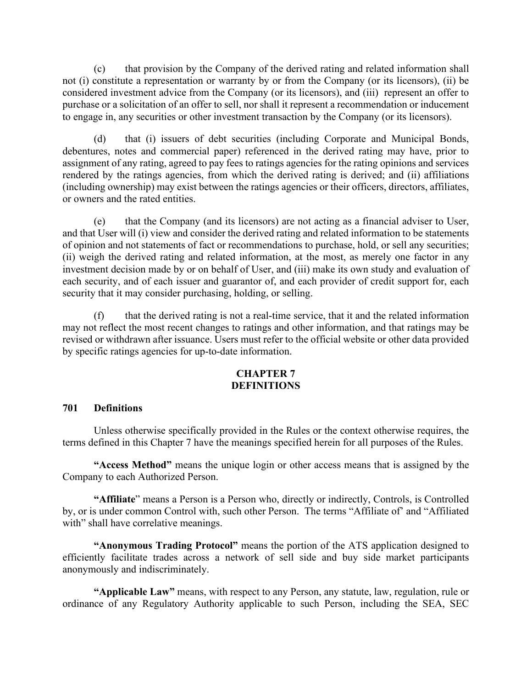(c) that provision by the Company of the derived rating and related information shall not (i) constitute a representation or warranty by or from the Company (or its licensors), (ii) be considered investment advice from the Company (or its licensors), and (iii) represent an offer to purchase or a solicitation of an offer to sell, nor shall it represent a recommendation or inducement to engage in, any securities or other investment transaction by the Company (or its licensors).

(d) that (i) issuers of debt securities (including Corporate and Municipal Bonds, debentures, notes and commercial paper) referenced in the derived rating may have, prior to assignment of any rating, agreed to pay fees to ratings agencies for the rating opinions and services rendered by the ratings agencies, from which the derived rating is derived; and (ii) affiliations (including ownership) may exist between the ratings agencies or their officers, directors, affiliates, or owners and the rated entities.

(e) that the Company (and its licensors) are not acting as a financial adviser to User, and that User will (i) view and consider the derived rating and related information to be statements of opinion and not statements of fact or recommendations to purchase, hold, or sell any securities; (ii) weigh the derived rating and related information, at the most, as merely one factor in any investment decision made by or on behalf of User, and (iii) make its own study and evaluation of each security, and of each issuer and guarantor of, and each provider of credit support for, each security that it may consider purchasing, holding, or selling.

(f) that the derived rating is not a real-time service, that it and the related information may not reflect the most recent changes to ratings and other information, and that ratings may be revised or withdrawn after issuance. Users must refer to the official website or other data provided by specific ratings agencies for up-to-date information.

### **CHAPTER 7 DEFINITIONS**

### <span id="page-24-1"></span><span id="page-24-0"></span>**701 Definitions**

Unless otherwise specifically provided in the Rules or the context otherwise requires, the terms defined in this Chapter 7 have the meanings specified herein for all purposes of the Rules.

**"Access Method"** means the unique login or other access means that is assigned by the Company to each Authorized Person.

**"Affiliate**" means a Person is a Person who, directly or indirectly, Controls, is Controlled by, or is under common Control with, such other Person. The terms "Affiliate of' and "Affiliated with" shall have correlative meanings.

**"Anonymous Trading Protocol"** means the portion of the ATS application designed to efficiently facilitate trades across a network of sell side and buy side market participants anonymously and indiscriminately.

**"Applicable Law"** means, with respect to any Person, any statute, law, regulation, rule or ordinance of any Regulatory Authority applicable to such Person, including the SEA, SEC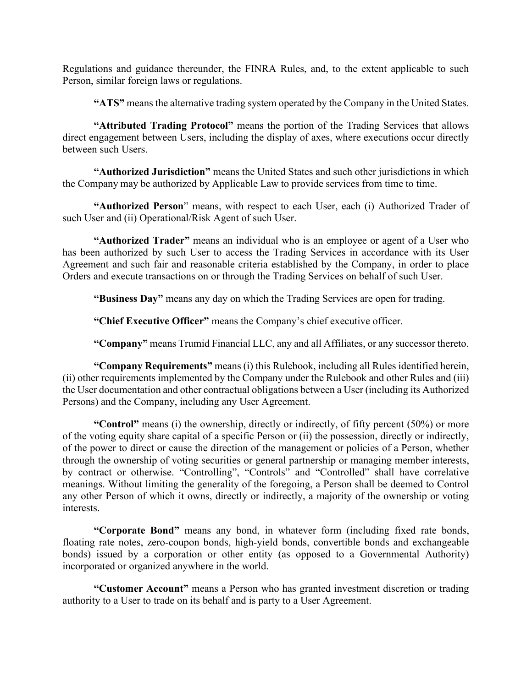Regulations and guidance thereunder, the FINRA Rules, and, to the extent applicable to such Person, similar foreign laws or regulations.

**"ATS"** means the alternative trading system operated by the Company in the United States.

**"Attributed Trading Protocol"** means the portion of the Trading Services that allows direct engagement between Users, including the display of axes, where executions occur directly between such Users.

**"Authorized Jurisdiction"** means the United States and such other jurisdictions in which the Company may be authorized by Applicable Law to provide services from time to time.

**"Authorized Person**" means, with respect to each User, each (i) Authorized Trader of such User and (ii) Operational/Risk Agent of such User.

**"Authorized Trader"** means an individual who is an employee or agent of a User who has been authorized by such User to access the Trading Services in accordance with its User Agreement and such fair and reasonable criteria established by the Company, in order to place Orders and execute transactions on or through the Trading Services on behalf of such User.

**"Business Day"** means any day on which the Trading Services are open for trading.

**"Chief Executive Officer"** means the Company's chief executive officer.

**"Company"** means Trumid Financial LLC, any and all Affiliates, or any successor thereto.

**"Company Requirements"** means (i) this Rulebook, including all Rules identified herein, (ii) other requirements implemented by the Company under the Rulebook and other Rules and (iii) the User documentation and other contractual obligations between a User (including its Authorized Persons) and the Company, including any User Agreement.

**"Control"** means (i) the ownership, directly or indirectly, of fifty percent (50%) or more of the voting equity share capital of a specific Person or (ii) the possession, directly or indirectly, of the power to direct or cause the direction of the management or policies of a Person, whether through the ownership of voting securities or general partnership or managing member interests, by contract or otherwise. "Controlling", "Controls" and "Controlled" shall have correlative meanings. Without limiting the generality of the foregoing, a Person shall be deemed to Control any other Person of which it owns, directly or indirectly, a majority of the ownership or voting interests.

**"Corporate Bond"** means any bond, in whatever form (including fixed rate bonds, floating rate notes, zero-coupon bonds, high-yield bonds, convertible bonds and exchangeable bonds) issued by a corporation or other entity (as opposed to a Governmental Authority) incorporated or organized anywhere in the world.

**"Customer Account"** means a Person who has granted investment discretion or trading authority to a User to trade on its behalf and is party to a User Agreement.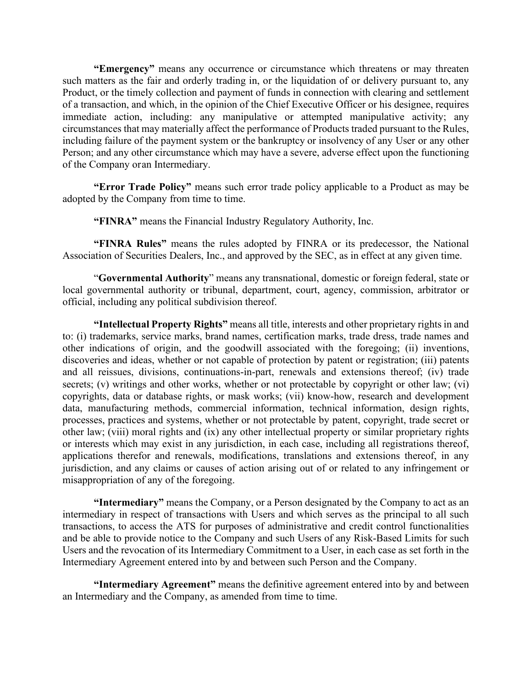**"Emergency"** means any occurrence or circumstance which threatens or may threaten such matters as the fair and orderly trading in, or the liquidation of or delivery pursuant to, any Product, or the timely collection and payment of funds in connection with clearing and settlement of a transaction, and which, in the opinion of the Chief Executive Officer or his designee, requires immediate action, including: any manipulative or attempted manipulative activity; any circumstances that may materially affect the performance of Products traded pursuant to the Rules, including failure of the payment system or the bankruptcy or insolvency of any User or any other Person; and any other circumstance which may have a severe, adverse effect upon the functioning of the Company oran Intermediary.

**"Error Trade Policy"** means such error trade policy applicable to a Product as may be adopted by the Company from time to time.

**"FINRA"** means the Financial Industry Regulatory Authority, Inc.

**"FINRA Rules"** means the rules adopted by FINRA or its predecessor, the National Association of Securities Dealers, Inc., and approved by the SEC, as in effect at any given time.

"**Governmental Authority**" means any transnational, domestic or foreign federal, state or local governmental authority or tribunal, department, court, agency, commission, arbitrator or official, including any political subdivision thereof.

**"Intellectual Property Rights"** means all title, interests and other proprietary rights in and to: (i) trademarks, service marks, brand names, certification marks, trade dress, trade names and other indications of origin, and the goodwill associated with the foregoing; (ii) inventions, discoveries and ideas, whether or not capable of protection by patent or registration; (iii) patents and all reissues, divisions, continuations-in-part, renewals and extensions thereof; (iv) trade secrets; (v) writings and other works, whether or not protectable by copyright or other law; (vi) copyrights, data or database rights, or mask works; (vii) know-how, research and development data, manufacturing methods, commercial information, technical information, design rights, processes, practices and systems, whether or not protectable by patent, copyright, trade secret or other law; (viii) moral rights and (ix) any other intellectual property or similar proprietary rights or interests which may exist in any jurisdiction, in each case, including all registrations thereof, applications therefor and renewals, modifications, translations and extensions thereof, in any jurisdiction, and any claims or causes of action arising out of or related to any infringement or misappropriation of any of the foregoing.

**"Intermediary"** means the Company, or a Person designated by the Company to act as an intermediary in respect of transactions with Users and which serves as the principal to all such transactions, to access the ATS for purposes of administrative and credit control functionalities and be able to provide notice to the Company and such Users of any Risk-Based Limits for such Users and the revocation of its Intermediary Commitment to a User, in each case as set forth in the Intermediary Agreement entered into by and between such Person and the Company.

**"Intermediary Agreement"** means the definitive agreement entered into by and between an Intermediary and the Company, as amended from time to time.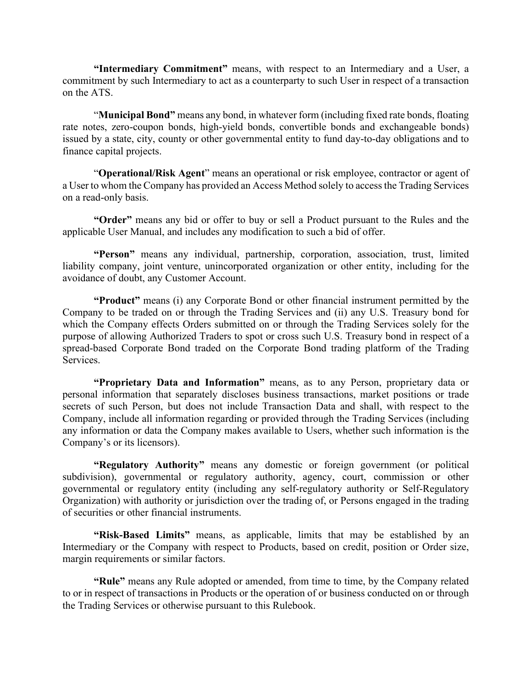**"Intermediary Commitment"** means, with respect to an Intermediary and a User, a commitment by such Intermediary to act as a counterparty to such User in respect of a transaction on the ATS.

"**Municipal Bond"** means any bond, in whatever form (including fixed rate bonds, floating rate notes, zero-coupon bonds, high-yield bonds, convertible bonds and exchangeable bonds) issued by a state, city, county or other governmental entity to fund day-to-day obligations and to finance capital projects.

"**Operational/Risk Agent**" means an operational or risk employee, contractor or agent of a User to whom the Company has provided an Access Method solely to access the Trading Services on a read-only basis.

**"Order"** means any bid or offer to buy or sell a Product pursuant to the Rules and the applicable User Manual, and includes any modification to such a bid of offer.

**"Person"** means any individual, partnership, corporation, association, trust, limited liability company, joint venture, unincorporated organization or other entity, including for the avoidance of doubt, any Customer Account.

**"Product"** means (i) any Corporate Bond or other financial instrument permitted by the Company to be traded on or through the Trading Services and (ii) any U.S. Treasury bond for which the Company effects Orders submitted on or through the Trading Services solely for the purpose of allowing Authorized Traders to spot or cross such U.S. Treasury bond in respect of a spread-based Corporate Bond traded on the Corporate Bond trading platform of the Trading Services.

**"Proprietary Data and Information"** means, as to any Person, proprietary data or personal information that separately discloses business transactions, market positions or trade secrets of such Person, but does not include Transaction Data and shall, with respect to the Company, include all information regarding or provided through the Trading Services (including any information or data the Company makes available to Users, whether such information is the Company's or its licensors).

**"Regulatory Authority"** means any domestic or foreign government (or political subdivision), governmental or regulatory authority, agency, court, commission or other governmental or regulatory entity (including any self-regulatory authority or Self-Regulatory Organization) with authority or jurisdiction over the trading of, or Persons engaged in the trading of securities or other financial instruments.

**"Risk-Based Limits"** means, as applicable, limits that may be established by an Intermediary or the Company with respect to Products, based on credit, position or Order size, margin requirements or similar factors.

**"Rule"** means any Rule adopted or amended, from time to time, by the Company related to or in respect of transactions in Products or the operation of or business conducted on or through the Trading Services or otherwise pursuant to this Rulebook.